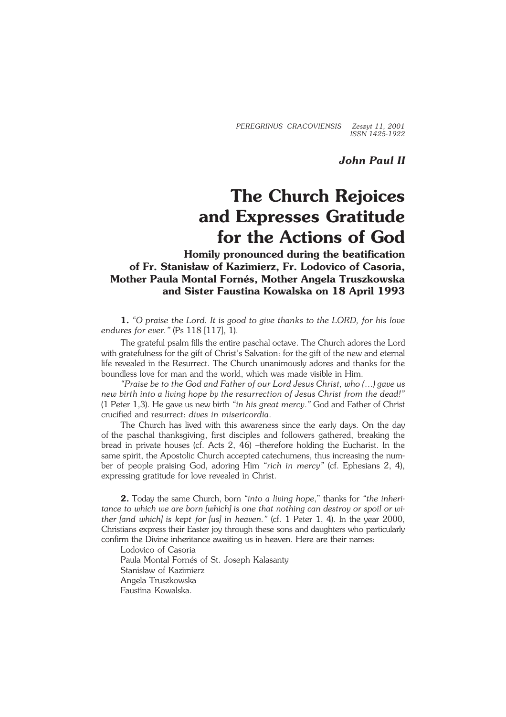*PEREGRINUS CRACOVIENSIS Zeszyt 11, 2001 ISSN 1425−1922*

*John Paul II*

## **The Church Rejoices and Expresses Gratitude for the Actions of God**

**Homily pronounced during the beatification of Fr. Stanisław of Kazimierz, Fr. Lodovico of Casoria, Mother Paula Montal Fornés, Mother Angela Truszkowska and Sister Faustina Kowalska on 18 April 1993**

**1.** *"O praise the Lord. It is good to give thanks to the LORD, for his love endures for ever."* (Ps 118 [117], 1).

The grateful psalm fills the entire paschal octave. The Church adores the Lord with gratefulness for the gift of Christ's Salvation: for the gift of the new and eternal life revealed in the Resurrect. The Church unanimously adores and thanks for the boundless love for man and the world, which was made visible in Him.

*"Praise be to the God and Father of our Lord Jesus Christ, who (…) gave us new birth into a living hope by the resurrection of Jesus Christ from the dead!"* (1 Peter 1,3). He gave us new birth *"in his great mercy*.*"* God and Father of Christ crucified and resurrect: *dives in misericordia*.

The Church has lived with this awareness since the early days. On the day ofthe paschal thanksgiving, first disciples and followers gathered, breaking the bread in private houses (cf. Acts 2, 46) –therefore holding the Eucharist. In the same spirit, the Apostolic Church accepted catechumens, thus increasing the number of people praising God, adoring Him *"rich in mercy"* (cf. Ephesians 2, 4), expressing gratitude for love revealed in Christ.

**2.** Today the same Church, born *"into a living hope*," thanks for *"the inheri− tance to which we are born [which] is one that nothing can destroy or spoil orwi− ther [and which] is kept for [us] in heaven."* (cf. 1 Peter 1, 4). In the year 2000, Christians express their Easter joy through these sons and daughters who particularly confirm the Divine inheritance awaiting us in heaven. Here are their names:

Lodovico of Casoria Paula Montal Fornés of St. Joseph Kalasanty Stanisław of Kazimierz Angela Truszkowska Faustina Kowalska.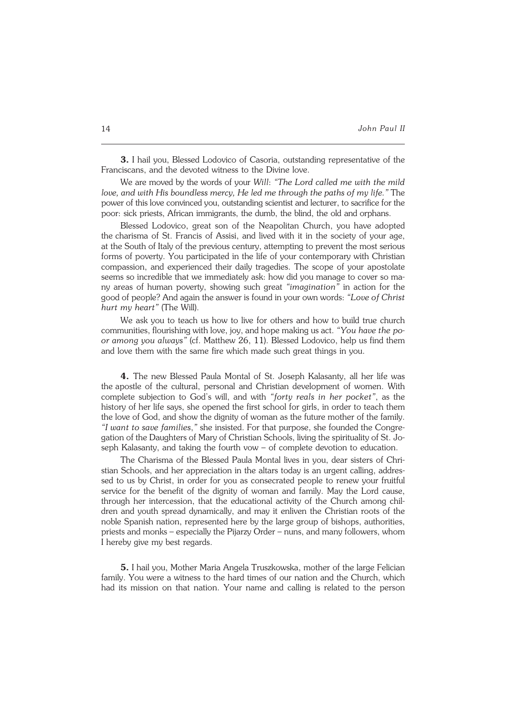**3.** I hail you, Blessed Lodovico of Casoria, outstanding representative of the Franciscans, and the devoted witness to the Divine love.

We are moved by the words of your *Will*: *"The Lord called me with the mild love, and with His boundless mercy, He led me through the paths of my life."* The power of this love convinced you, outstanding scientist and lecturer, to sacrifice for the poor: sick priests, African immigrants, the dumb, the blind, the old and orphans.

Blessed Lodovico, great son of the Neapolitan Church, you have adopted the charisma of St. Francis of Assisi, and lived with it in the society of your age, atthe South of Italy of the previous century, attempting to prevent the most serious forms of poverty. You participated in the life of your contemporary with Christian compassion, and experienced their daily tragedies. The scope of your apostolate seems so incredible that we immediately ask: how did you manage to cover so many areas of human poverty, showing such great *"imagination"* in action for the good of people? And again the answer is found in your own words: *"Love of Christ hurt my heart"* (The Will).

We ask you to teach us how to live for others and how to build true church communities, flourishing with love, joy, and hope making us act. *"You have thepo− or among you always"* (cf. Matthew 26, 11). Blessed Lodovico, help us find them and love them with the same fire which made such great things in you.

**4.** The new Blessed Paula Montal of St. Joseph Kalasanty, all her life was the apostle of the cultural, personal and Christian development of women. With complete subjection to God's will, and with *"forty reals in her pocket"*, as the history of her life says, she opened the first school for girls, in order to teach them the love of God, and show the dignity of woman as the future mother of the family. *"I want to save families*,*"* she insisted. For that purpose, she founded the Congre− gation of the Daughters of Mary of Christian Schools, living the spirituality of St. Joseph Kalasanty, and taking the fourth vow - of complete devotion to education.

The Charisma of the Blessed Paula Montal lives in you, dear sisters of Chri− stian Schools, and her appreciation in the altars today is an urgent calling, addres− sed to us by Christ, in order for you as consecrated people to renew your fruitful service for the benefit of the dignity of woman and family. May the Lord cause, through her intercession, that the educational activity of the Church among chil− dren and youth spread dynamically, and may it enliven the Christian roots of the noble Spanish nation, represented here by the large group of bishops, authorities, priests and monks – especially the Pijarzy Order – nuns, and many followers, whom I hereby give my best regards.

**5.** I hail you, Mother Maria Angela Truszkowska, mother of the large Felician family. You were a witness to the hard times of our nation and the Church, which had its mission on that nation. Your name and calling is related to the person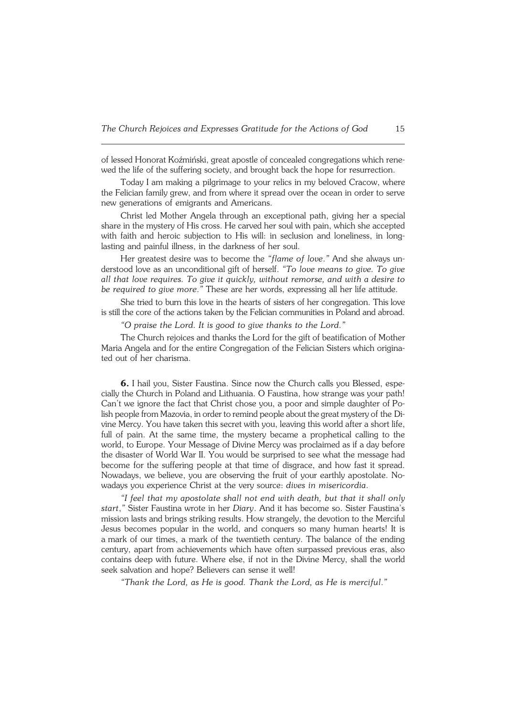oflessed Honorat Koźmiński, great apostle of concealed congregations which rene− wed the life of the suffering society, and brought back the hope for resurrection.

Today I am making a pilgrimage to your relics in my beloved Cracow, where the Felician family grew, and from where it spread over the ocean in order to serve new generations of emigrants and Americans.

Christ led Mother Angela through an exceptional path, giving her a special share in the mystery of His cross. He carved her soul with pain, which she accepted with faith and heroic subjection to His will: in seclusion and loneliness, in long− lasting and painful illness, in the darkness of her soul.

Her greatest desire was to become the *"flame of love*.*"* And she always un− derstood love as an unconditional gift of herself. *"To love means to give. To give all that love requires. To give it quickly, without remorse, and with a desire to be required to give more*.*"* These are her words, expressing all her life attitude.

She tried to burn this love in the hearts of sisters of her congregation. This love is still the core of the actions taken by the Felician communities in Poland andabroad.

*"O praise the Lord. It is good to give thanks to the Lord*.*"*

The Church rejoices and thanks the Lord for the gift of beatification of Mother Maria Angela and for the entire Congregation of the Felician Sisters which origina− ted out of her charisma.

**6.** I hail you, Sister Faustina. Since now the Church calls you Blessed, espe− cially the Church in Poland and Lithuania. O Faustina, how strange was your path! Can't we ignore the fact that Christ chose you, a poor and simple daughter of Po− lish people from Mazovia, in order to remind people about the great mystery of the Divine Mercy. You have taken this secret with you, leaving this world after a short life, full of pain. At the same time, the mystery became a prophetical calling to the world, to Europe. Your Message of Divine Mercy was proclaimed as if a day before the disaster of World War II. You would be surprised to see what the message had become for the suffering people at that time of disgrace, and how fast it spread. Nowadays, we believe, you are observing the fruit of your earthly apostolate. No− wadays you experience Christ at the very source: *dives in misericordia*.

*"I feel that my apostolate shall not end with death, but that it shall only start*,*"* Sister Faustina wrote in her *Diary*. And it has become so. Sister Faustina's mission lasts and brings striking results. How strangely, the devotion to the Merciful Jesus becomes popular in the world, and conquers so many human hearts! It is amark of our times, a mark of the twentieth century. The balance of the ending century, apart from achievements which have often surpassed previous eras, also contains deep with future. Where else, if not in the Divine Mercy, shall the world seek salvation and hope? Believers can sense it well!

*"Thank the Lord, as He is good. Thank the Lord, as He is merciful*.*"*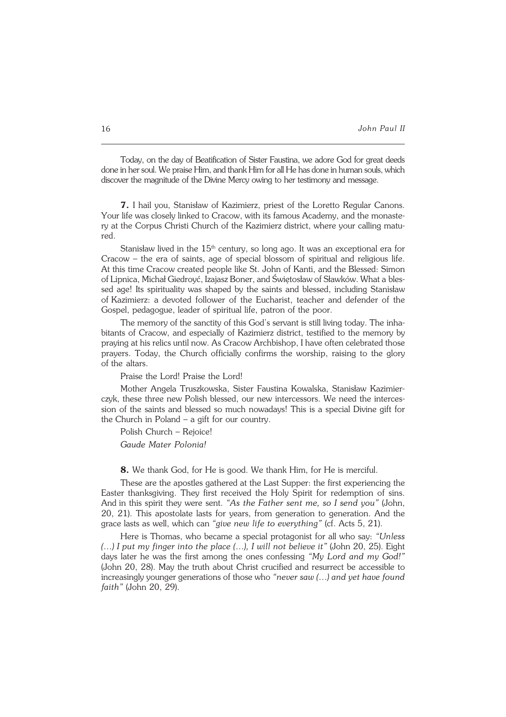Today, on the day of Beatification of Sister Faustina, we adore God for great deeds done in her soul. We praise Him, and thank Him for all He has done in human souls, which discover the magnitude of the Divine Mercy owing to her testimony and message.

**7.** I hail you, Stanisław of Kazimierz, priest of the Loretto Regular Canons. Your life was closely linked to Cracow, with its famous Academy, and the monaste− ry at the Corpus Christi Church of the Kazimierz district, where your calling matu− red.

Stanisław lived in the  $15<sup>th</sup>$  century, so long ago. It was an exceptional era for Cracow – the era of saints, age of special blossom of spiritual and religious life. At this time Cracow created people like St. John of Kanti, and the Blessed: Simon of Lipnica, Michał Giedroyć, Izajasz Boner, and Świętosław of Sławków. What ables− sed age! Its spirituality was shaped by the saints and blessed, including Stanisław ofKazimierz: a devoted follower of the Eucharist, teacher and defender of the Gospel, pedagogue, leader of spiritual life, patron of the poor.

The memory of the sanctity of this God's servant is still living today. The inhabitants of Cracow, and especially of Kazimierz district, testified to the memory by praying at his relics until now. As Cracow Archbishop, I have often celebrated those prayers. Today, the Church officially confirms the worship, raising to the glory of the altars.

Praise the Lord! Praise the Lord!

Mother Angela Truszkowska, Sister Faustina Kowalska, Stanisław Kazimier− czyk, these three new Polish blessed, our new intercessors. We need the interces− sion of the saints and blessed so much nowadays! This is a special Divine gift for the Church in Poland  $-$  a gift for our country.

Polish Church – Rejoice! *Gaude Mater Polonia!*

**8.** We thank God, for He is good. We thank Him, for He is merciful.

These are the apostles gathered at the Last Supper: the first experiencing the Easter thanksgiving. They first received the Holy Spirit for redemption of sins. Andin this spirit they were sent. *"As the Father sent me, so I send you"* (John, 20, 21). This apostolate lasts for years, from generation to generation. And the grace lasts as well, which can *"give new life to everything"* (cf. Acts 5, 21).

Here is Thomas, who became a special protagonist for all who say: *"Unless (…) I put my finger into the place (…), I will not believe it"* (John 20, 25). Eight days later he was the first among the ones confessing *"My Lord and my God!"* (John 20, 28). May the truth about Christ crucified and resurrect be accessible to increasingly younger generations of those who *"never saw (…) and yet have found faith"* (John 20, 29).